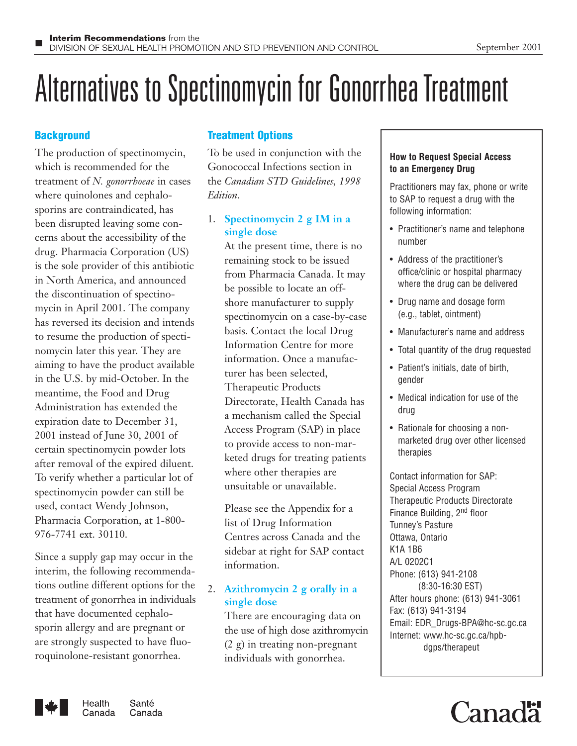# Alternatives to Spectinomycin for Gonorrhea Treatment

# **Background**

The production of spectinomycin, which is recommended for the treatment of *N. gonorrhoeae* in cases where quinolones and cephalosporins are contraindicated, has been disrupted leaving some concerns about the accessibility of the drug. Pharmacia Corporation (US) is the sole provider of this antibiotic in North America, and announced the discontinuation of spectinomycin in April 2001. The company has reversed its decision and intends to resume the production of spectinomycin later this year. They are aiming to have the product available in the U.S. by mid-October. In the meantime, the Food and Drug Administration has extended the expiration date to December 31, 2001 instead of June 30, 2001 of certain spectinomycin powder lots after removal of the expired diluent. To verify whether a particular lot of spectinomycin powder can still be used, contact Wendy Johnson, Pharmacia Corporation, at 1-800- 976-7741 ext. 30110.

Since a supply gap may occur in the interim, the following recommendations outline different options for the treatment of gonorrhea in individuals that have documented cephalosporin allergy and are pregnant or are strongly suspected to have fluoroquinolone-resistant gonorrhea.

# **Treatment Options**

To be used in conjunction with the Gonococcal Infections section in the *Canadian STD Guidelines, 1998 Edition*.

# 1. **Spectinomycin 2 g IM in a single dose**

At the present time, there is no remaining stock to be issued from Pharmacia Canada. It may be possible to locate an offshore manufacturer to supply spectinomycin on a case-by-case basis. Contact the local Drug Information Centre for more information. Once a manufacturer has been selected, Therapeutic Products Directorate, Health Canada has a mechanism called the Special Access Program (SAP) in place to provide access to non-marketed drugs for treating patients where other therapies are unsuitable or unavailable.

Please see the Appendix for a list of Drug Information Centres across Canada and the sidebar at right for SAP contact information.

# 2. **Azithromycin 2 g orally in a single dose**

There are encouraging data on the use of high dose azithromycin (2 g) in treating non-pregnant individuals with gonorrhea.

# **How to Request Special Access to an Emergency Drug**

Practitioners may fax, phone or write to SAP to request a drug with the following information:

- Practitioner's name and telephone number
- Address of the practitioner's office/clinic or hospital pharmacy where the drug can be delivered
- Drug name and dosage form (e.g., tablet, ointment)
- Manufacturer's name and address
- Total quantity of the drug requested
- Patient's initials, date of birth, gender
- Medical indication for use of the drug
- Rationale for choosing a nonmarketed drug over other licensed therapies

Contact information for SAP: Special Access Program Therapeutic Products Directorate Finance Building, 2<sup>nd</sup> floor Tunney's Pasture Ottawa, Ontario K1A 1B6 A/L 0202C1 Phone: (613) 941-2108 (8:30-16:30 EST) After hours phone: (613) 941-3061 Fax: (613) 941-3194 Email: EDR\_Drugs-BPA@hc-sc.gc.ca Internet: www.hc-sc.gc.ca/hpbdgps/therapeut



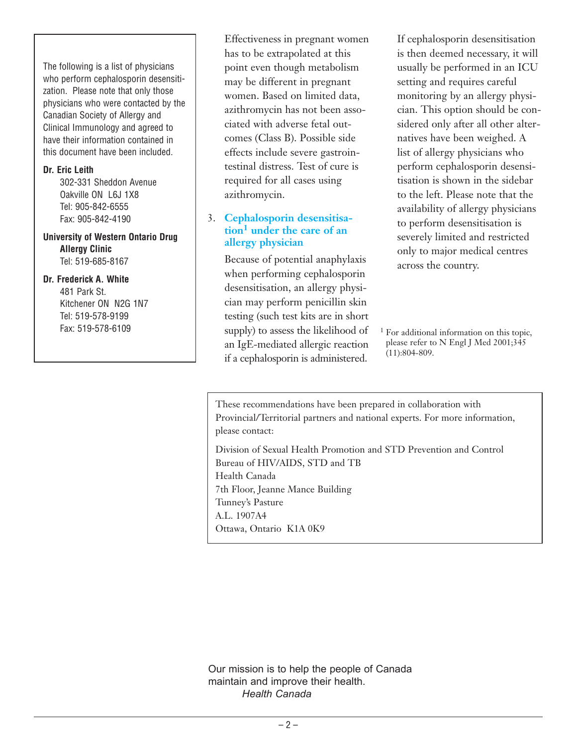The following is a list of physicians who perform cephalosporin desensitization. Please note that only those physicians who were contacted by the Canadian Society of Allergy and Clinical Immunology and agreed to have their information contained in this document have been included.

#### **Dr. Eric Leith**

302-331 Sheddon Avenue Oakville ON L6J 1X8 Tel: 905-842-6555 Fax: 905-842-4190

**University of Western Ontario Drug Allergy Clinic** Tel: 519-685-8167

## **Dr. Frederick A. White**

481 Park St. Kitchener ON N2G 1N7 Tel: 519-578-9199 Fax: 519-578-6109

Effectiveness in pregnant women has to be extrapolated at this point even though metabolism may be different in pregnant women. Based on limited data, azithromycin has not been associated with adverse fetal outcomes (Class B). Possible side effects include severe gastrointestinal distress. Test of cure is required for all cases using azithromycin.

# 3. **Cephalosporin desensitisation<sup>1</sup> under the care of an allergy physician**

Because of potential anaphylaxis when performing cephalosporin desensitisation, an allergy physician may perform penicillin skin testing (such test kits are in short supply) to assess the likelihood of an IgE-mediated allergic reaction if a cephalosporin is administered.

If cephalosporin desensitisation is then deemed necessary, it will usually be performed in an ICU setting and requires careful monitoring by an allergy physician. This option should be considered only after all other alternatives have been weighed. A list of allergy physicians who perform cephalosporin desensitisation is shown in the sidebar to the left. Please note that the availability of allergy physicians to perform desensitisation is severely limited and restricted only to major medical centres across the country.

<sup>1</sup> For additional information on this topic, please refer to N Engl J Med 2001;345 (11):804-809.

These recommendations have been prepared in collaboration with Provincial/Territorial partners and national experts. For more information, please contact:

Division of Sexual Health Promotion and STD Prevention and Control Bureau of HIV/AIDS, STD and TB Health Canada 7th Floor, Jeanne Mance Building Tunney's Pasture A.L. 1907A4 Ottawa, Ontario K1A 0K9

Our mission is to help the people of Canada maintain and improve their health. *Health Canada*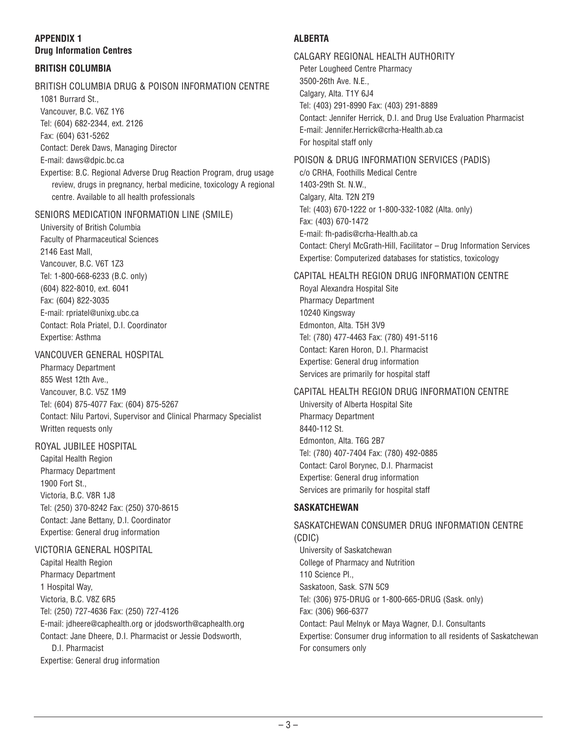# **APPENDIX 1 Drug Information Centres**

### **BRITISH COLUMBIA**

# BRITISH COLUMBIA DRUG & POISON INFORMATION CENTRE

1081 Burrard St.,

Vancouver, B.C. V6Z 1Y6 Tel: (604) 682-2344, ext. 2126

Fax: (604) 631-5262

Contact: Derek Daws, Managing Director

E-mail: daws@dpic.bc.ca

Expertise: B.C. Regional Adverse Drug Reaction Program, drug usage review, drugs in pregnancy, herbal medicine, toxicology A regional centre. Available to all health professionals

#### SENIORS MEDICATION INFORMATION LINE (SMILE)

University of British Columbia Faculty of Pharmaceutical Sciences 2146 East Mall, Vancouver, B.C. V6T 1Z3 Tel: 1-800-668-6233 (B.C. only) (604) 822-8010, ext. 6041 Fax: (604) 822-3035 E-mail: rpriatel@unixg.ubc.ca Contact: Rola Priatel, D.I. Coordinator Expertise: Asthma

#### VANCOUVER GENERAL HOSPITAL

Pharmacy Department 855 West 12th Ave., Vancouver, B.C. V5Z 1M9 Tel: (604) 875-4077 Fax: (604) 875-5267 Contact: Nilu Partovi, Supervisor and Clinical Pharmacy Specialist Written requests only

# ROYAL JUBILEE HOSPITAL

Capital Health Region Pharmacy Department 1900 Fort St., Victoria, B.C. V8R 1J8 Tel: (250) 370-8242 Fax: (250) 370-8615 Contact: Jane Bettany, D.I. Coordinator Expertise: General drug information

#### VICTORIA GENERAL HOSPITAL

Capital Health Region Pharmacy Department 1 Hospital Way, Victoria, B.C. V8Z 6R5 Tel: (250) 727-4636 Fax: (250) 727-4126 E-mail: jdheere@caphealth.org or jdodsworth@caphealth.org Contact: Jane Dheere, D.I. Pharmacist or Jessie Dodsworth, D.I. Pharmacist Expertise: General drug information

# **ALBERTA**

CALGARY REGIONAL HEALTH AUTHORITY Peter Lougheed Centre Pharmacy 3500-26th Ave. N.E., Calgary, Alta. T1Y 6J4 Tel: (403) 291-8990 Fax: (403) 291-8889 Contact: Jennifer Herrick, D.I. and Drug Use Evaluation Pharmacist E-mail: Jennifer.Herrick@crha-Health.ab.ca For hospital staff only

#### POISON & DRUG INFORMATION SERVICES (PADIS)

c/o CRHA, Foothills Medical Centre 1403-29th St. N.W., Calgary, Alta. T2N 2T9 Tel: (403) 670-1222 or 1-800-332-1082 (Alta. only) Fax: (403) 670-1472 E-mail: fh-padis@crha-Health.ab.ca Contact: Cheryl McGrath-Hill, Facilitator – Drug Information Services Expertise: Computerized databases for statistics, toxicology

#### CAPITAL HEALTH REGION DRUG INFORMATION CENTRE

Royal Alexandra Hospital Site Pharmacy Department 10240 Kingsway Edmonton, Alta. T5H 3V9 Tel: (780) 477-4463 Fax: (780) 491-5116 Contact: Karen Horon, D.I. Pharmacist Expertise: General drug information Services are primarily for hospital staff

# CAPITAL HEALTH REGION DRUG INFORMATION CENTRE

University of Alberta Hospital Site Pharmacy Department 8440-112 St. Edmonton, Alta. T6G 2B7 Tel: (780) 407-7404 Fax: (780) 492-0885 Contact: Carol Borynec, D.I. Pharmacist Expertise: General drug information Services are primarily for hospital staff

# **SASKATCHEWAN**

SASKATCHEWAN CONSUMER DRUG INFORMATION CENTRE (CDIC) University of Saskatchewan College of Pharmacy and Nutrition 110 Science Pl., Saskatoon, Sask. S7N 5C9 Tel: (306) 975-DRUG or 1-800-665-DRUG (Sask. only) Fax: (306) 966-6377 Contact: Paul Melnyk or Maya Wagner, D.I. Consultants Expertise: Consumer drug information to all residents of Saskatchewan For consumers only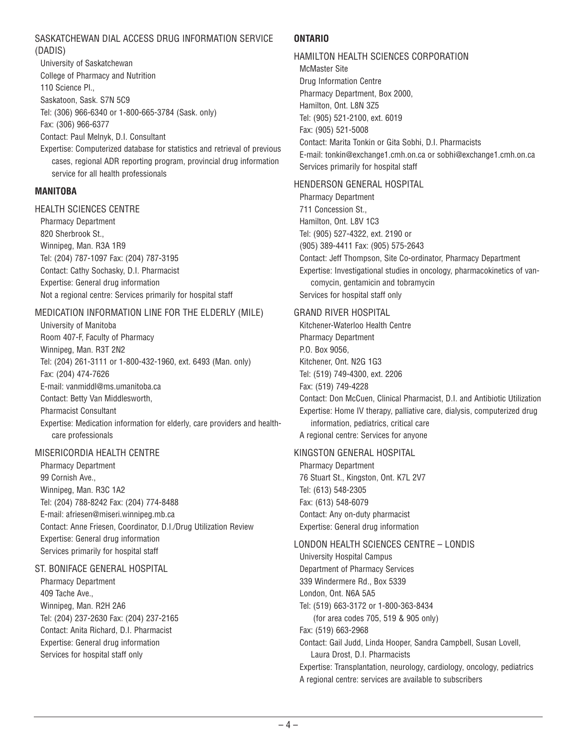#### SASKATCHEWAN DIAL ACCESS DRUG INFORMATION SERVICE (DADIS)

University of Saskatchewan College of Pharmacy and Nutrition 110 Science Pl., Saskatoon, Sask. S7N 5C9 Tel: (306) 966-6340 or 1-800-665-3784 (Sask. only) Fax: (306) 966-6377 Contact: Paul Melnyk, D.I. Consultant Expertise: Computerized database for statistics and retrieval of previous cases, regional ADR reporting program, provincial drug information service for all health professionals

#### **MANITOBA**

#### HEALTH SCIENCES CENTRE

Pharmacy Department 820 Sherbrook St., Winnipeg, Man. R3A 1R9 Tel: (204) 787-1097 Fax: (204) 787-3195 Contact: Cathy Sochasky, D.I. Pharmacist Expertise: General drug information Not a regional centre: Services primarily for hospital staff

#### MEDICATION INFORMATION LINE FOR THE ELDERLY (MILE)

University of Manitoba Room 407-F, Faculty of Pharmacy Winnipeg, Man. R3T 2N2 Tel: (204) 261-3111 or 1-800-432-1960, ext. 6493 (Man. only) Fax: (204) 474-7626 E-mail: vanmiddl@ms.umanitoba.ca Contact: Betty Van Middlesworth, Pharmacist Consultant Expertise: Medication information for elderly, care providers and healthcare professionals

#### MISERICORDIA HEALTH CENTRE

Pharmacy Department 99 Cornish Ave., Winnipeg, Man. R3C 1A2 Tel: (204) 788-8242 Fax: (204) 774-8488 E-mail: afriesen@miseri.winnipeg.mb.ca Contact: Anne Friesen, Coordinator, D.I./Drug Utilization Review Expertise: General drug information Services primarily for hospital staff

#### ST. BONIFACE GENERAL HOSPITAL

Pharmacy Department 409 Tache Ave., Winnipeg, Man. R2H 2A6 Tel: (204) 237-2630 Fax: (204) 237-2165 Contact: Anita Richard, D.I. Pharmacist Expertise: General drug information Services for hospital staff only

#### **ONTARIO**

#### HAMILTON HEALTH SCIENCES CORPORATION McMaster Site

Drug Information Centre Pharmacy Department, Box 2000, Hamilton, Ont. L8N 3Z5 Tel: (905) 521-2100, ext. 6019 Fax: (905) 521-5008 Contact: Marita Tonkin or Gita Sobhi, D.I. Pharmacists E-mail: tonkin@exchange1.cmh.on.ca or sobhi@exchange1.cmh.on.ca Services primarily for hospital staff

#### HENDERSON GENERAL HOSPITAL

Pharmacy Department 711 Concession St., Hamilton, Ont. L8V 1C3 Tel: (905) 527-4322, ext. 2190 or (905) 389-4411 Fax: (905) 575-2643 Contact: Jeff Thompson, Site Co-ordinator, Pharmacy Department Expertise: Investigational studies in oncology, pharmacokinetics of vancomycin, gentamicin and tobramycin Services for hospital staff only

#### GRAND RIVER HOSPITAL

Kitchener-Waterloo Health Centre Pharmacy Department P.O. Box 9056, Kitchener, Ont. N2G 1G3 Tel: (519) 749-4300, ext. 2206 Fax: (519) 749-4228 Contact: Don McCuen, Clinical Pharmacist, D.I. and Antibiotic Utilization Expertise: Home IV therapy, palliative care, dialysis, computerized drug information, pediatrics, critical care A regional centre: Services for anyone

#### KINGSTON GENERAL HOSPITAL

Pharmacy Department 76 Stuart St., Kingston, Ont. K7L 2V7 Tel: (613) 548-2305 Fax: (613) 548-6079 Contact: Any on-duty pharmacist Expertise: General drug information

#### LONDON HEALTH SCIENCES CENTRE – LONDIS

University Hospital Campus Department of Pharmacy Services 339 Windermere Rd., Box 5339 London, Ont. N6A 5A5 Tel: (519) 663-3172 or 1-800-363-8434 (for area codes 705, 519 & 905 only) Fax: (519) 663-2968 Contact: Gail Judd, Linda Hooper, Sandra Campbell, Susan Lovell, Laura Drost, D.I. Pharmacists Expertise: Transplantation, neurology, cardiology, oncology, pediatrics A regional centre: services are available to subscribers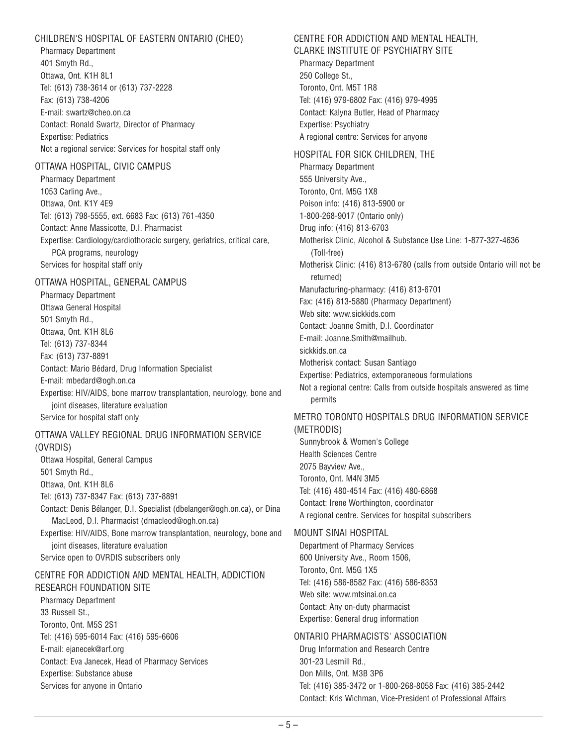#### CHILDREN'S HOSPITAL OF EASTERN ONTARIO (CHEO)

Pharmacy Department 401 Smyth Rd., Ottawa, Ont. K1H 8L1 Tel: (613) 738-3614 or (613) 737-2228 Fax: (613) 738-4206 E-mail: swartz@cheo.on.ca Contact: Ronald Swartz, Director of Pharmacy Expertise: Pediatrics Not a regional service: Services for hospital staff only

#### OTTAWA HOSPITAL, CIVIC CAMPUS

Pharmacy Department 1053 Carling Ave., Ottawa, Ont. K1Y 4E9 Tel: (613) 798-5555, ext. 6683 Fax: (613) 761-4350 Contact: Anne Massicotte, D.I. Pharmacist Expertise: Cardiology/cardiothoracic surgery, geriatrics, critical care, PCA programs, neurology Services for hospital staff only

#### OTTAWA HOSPITAL, GENERAL CAMPUS

Pharmacy Department Ottawa General Hospital 501 Smyth Rd., Ottawa, Ont. K1H 8L6 Tel: (613) 737-8344 Fax: (613) 737-8891 Contact: Mario Bédard, Drug Information Specialist E-mail: mbedard@ogh.on.ca Expertise: HIV/AIDS, bone marrow transplantation, neurology, bone and joint diseases, literature evaluation Service for hospital staff only

#### OTTAWA VALLEY REGIONAL DRUG INFORMATION SERVICE (OVRDIS)

Ottawa Hospital, General Campus 501 Smyth Rd., Ottawa, Ont. K1H 8L6 Tel: (613) 737-8347 Fax: (613) 737-8891 Contact: Denis Bélanger, D.I. Specialist (dbelanger@ogh.on.ca), or Dina MacLeod, D.I. Pharmacist (dmacleod@ogh.on.ca) Expertise: HIV/AIDS, Bone marrow transplantation, neurology, bone and joint diseases, literature evaluation Service open to OVRDIS subscribers only CENTRE FOR ADDICTION AND MENTAL HEALTH, ADDICTION

RESEARCH FOUNDATION SITE Pharmacy Department 33 Russell St., Toronto, Ont. M5S 2S1 Tel: (416) 595-6014 Fax: (416) 595-6606 E-mail: ejanecek@arf.org Contact: Eva Janecek, Head of Pharmacy Services Expertise: Substance abuse Services for anyone in Ontario

# CENTRE FOR ADDICTION AND MENTAL HEALTH,

CLARKE INSTITUTE OF PSYCHIATRY SITE Pharmacy Department 250 College St., Toronto, Ont. M5T 1R8 Tel: (416) 979-6802 Fax: (416) 979-4995 Contact: Kalyna Butler, Head of Pharmacy Expertise: Psychiatry A regional centre: Services for anyone

HOSPITAL FOR SICK CHILDREN, THE Pharmacy Department 555 University Ave., Toronto, Ont. M5G 1X8 Poison info: (416) 813-5900 or 1-800-268-9017 (Ontario only) Drug info: (416) 813-6703 Motherisk Clinic, Alcohol & Substance Use Line: 1-877-327-4636 (Toll-free) Motherisk Clinic: (416) 813-6780 (calls from outside Ontario will not be returned) Manufacturing-pharmacy: (416) 813-6701 Fax: (416) 813-5880 (Pharmacy Department) Web site: www.sickkids.com Contact: Joanne Smith, D.I. Coordinator E-mail: Joanne.Smith@mailhub. sickkids.on.ca Motherisk contact: Susan Santiago Expertise: Pediatrics, extemporaneous formulations Not a regional centre: Calls from outside hospitals answered as time permits

# METRO TORONTO HOSPITALS DRUG INFORMATION SERVICE (METRODIS)

Sunnybrook & Women's College Health Sciences Centre 2075 Bayview Ave., Toronto, Ont. M4N 3M5 Tel: (416) 480-4514 Fax: (416) 480-6868 Contact: Irene Worthington, coordinator A regional centre. Services for hospital subscribers

# MOUNT SINAI HOSPITAL

Department of Pharmacy Services 600 University Ave., Room 1506, Toronto, Ont. M5G 1X5 Tel: (416) 586-8582 Fax: (416) 586-8353 Web site: www.mtsinai.on.ca Contact: Any on-duty pharmacist Expertise: General drug information

# ONTARIO PHARMACISTS' ASSOCIATION

Drug Information and Research Centre 301-23 Lesmill Rd., Don Mills, Ont. M3B 3P6 Tel: (416) 385-3472 or 1-800-268-8058 Fax: (416) 385-2442 Contact: Kris Wichman, Vice-President of Professional Affairs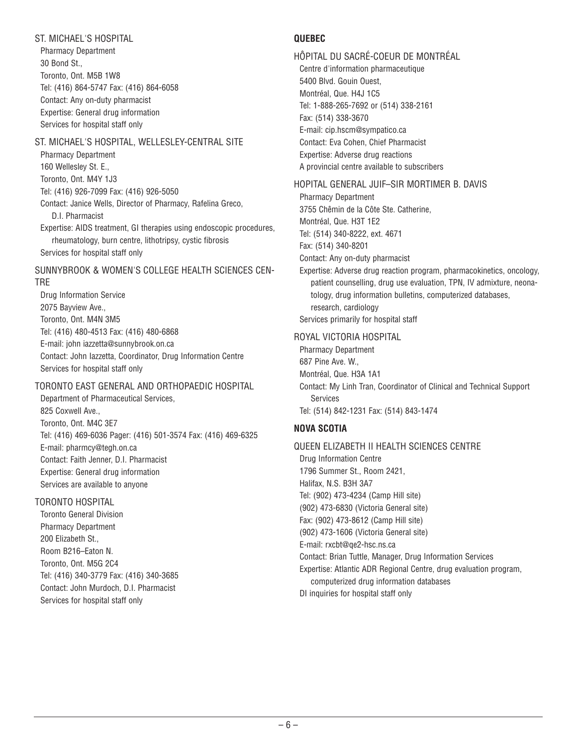## ST. MICHAEL'S HOSPITAL

Pharmacy Department 30 Bond St., Toronto, Ont. M5B 1W8 Tel: (416) 864-5747 Fax: (416) 864-6058 Contact: Any on-duty pharmacist Expertise: General drug information Services for hospital staff only

#### ST. MICHAEL'S HOSPITAL, WELLESLEY-CENTRAL SITE

Pharmacy Department 160 Wellesley St. E., Toronto, Ont. M4Y 1J3 Tel: (416) 926-7099 Fax: (416) 926-5050 Contact: Janice Wells, Director of Pharmacy, Rafelina Greco, D.I. Pharmacist Expertise: AIDS treatment, GI therapies using endoscopic procedures, rheumatology, burn centre, lithotripsy, cystic fibrosis Services for hospital staff only

#### SUNNYBROOK & WOMEN'S COLLEGE HEALTH SCIENCES CEN-TRE

Drug Information Service 2075 Bayview Ave., Toronto, Ont. M4N 3M5 Tel: (416) 480-4513 Fax: (416) 480-6868 E-mail: john iazzetta@sunnybrook.on.ca Contact: John Iazzetta, Coordinator, Drug Information Centre Services for hospital staff only

# TORONTO EAST GENERAL AND ORTHOPAEDIC HOSPITAL

Department of Pharmaceutical Services, 825 Coxwell Ave., Toronto, Ont. M4C 3E7 Tel: (416) 469-6036 Pager: (416) 501-3574 Fax: (416) 469-6325 E-mail: pharmcy@tegh.on.ca Contact: Faith Jenner, D.I. Pharmacist Expertise: General drug information Services are available to anyone

# TORONTO HOSPITAL

Toronto General Division Pharmacy Department 200 Elizabeth St., Room B216–Eaton N. Toronto, Ont. M5G 2C4 Tel: (416) 340-3779 Fax: (416) 340-3685 Contact: John Murdoch, D.I. Pharmacist Services for hospital staff only

# **QUEBEC**

HÔPITAL DU SACRÉ-COEUR DE MONTRÉAL Centre d'information pharmaceutique 5400 Blvd. Gouin Ouest, Montréal, Que. H4J 1C5 Tel: 1-888-265-7692 or (514) 338-2161 Fax: (514) 338-3670 E-mail: cip.hscm@sympatico.ca Contact: Eva Cohen, Chief Pharmacist Expertise: Adverse drug reactions A provincial centre available to subscribers

#### HOPITAL GENERAL JUIF–SIR MORTIMER B. DAVIS

Pharmacy Department 3755 Chêmin de la Côte Ste. Catherine, Montréal, Que. H3T 1E2 Tel: (514) 340-8222, ext. 4671 Fax: (514) 340-8201 Contact: Any on-duty pharmacist

Expertise: Adverse drug reaction program, pharmacokinetics, oncology, patient counselling, drug use evaluation, TPN, IV admixture, neonatology, drug information bulletins, computerized databases, research, cardiology Services primarily for hospital staff

#### ROYAL VICTORIA HOSPITAL

Pharmacy Department 687 Pine Ave. W., Montréal, Que. H3A 1A1 Contact: My Linh Tran, Coordinator of Clinical and Technical Support Services Tel: (514) 842-1231 Fax: (514) 843-1474

# **NOVA SCOTIA**

QUEEN ELIZABETH II HEALTH SCIENCES CENTRE Drug Information Centre 1796 Summer St., Room 2421, Halifax, N.S. B3H 3A7 Tel: (902) 473-4234 (Camp Hill site) (902) 473-6830 (Victoria General site) Fax: (902) 473-8612 (Camp Hill site) (902) 473-1606 (Victoria General site) E-mail: rxcbt@qe2-hsc.ns.ca Contact: Brian Tuttle, Manager, Drug Information Services Expertise: Atlantic ADR Regional Centre, drug evaluation program, computerized drug information databases DI inquiries for hospital staff only